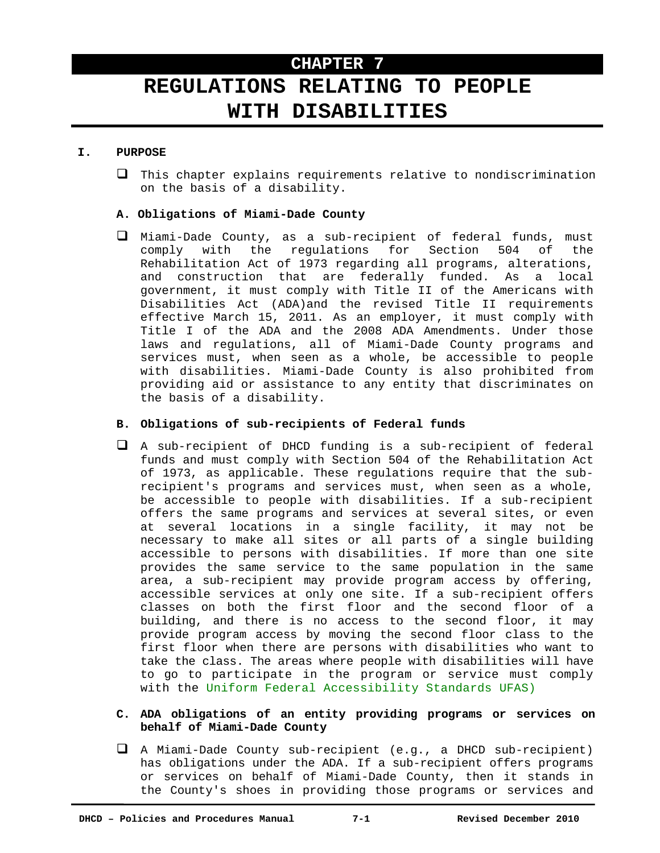# **CHAPTER 7**

# **REGULATIONS RELATING TO PEOPLE WITH DISABILITIES**

# **I. PURPOSE**

 $\Box$  This chapter explains requirements relative to nondiscrimination on the basis of a disability.

# **A. Obligations of Miami-Dade County**

 Miami-Dade County, as a sub-recipient of federal funds, must comply with the regulations for Section 504 of the Rehabilitation Act of 1973 regarding all programs, alterations, and construction that are federally funded. As a local government, it must comply with Title II of the Americans with Disabilities Act (ADA)and the revised Title II requirements effective March 15, 2011. As an employer, it must comply with Title I of the ADA and the 2008 ADA Amendments. Under those laws and regulations, all of Miami-Dade County programs and services must, when seen as a whole, be accessible to people with disabilities. Miami-Dade County is also prohibited from providing aid or assistance to any entity that discriminates on the basis of a disability.

# **B. Obligations of sub-recipients of Federal funds**

 $\Box$  A sub-recipient of DHCD funding is a sub-recipient of federal funds and must comply with Section 504 of the Rehabilitation Act of 1973, as applicable. These regulations require that the subrecipient's programs and services must, when seen as a whole, be accessible to people with disabilities. If a sub-recipient offers the same programs and services at several sites, or even at several locations in a single facility, it may not be necessary to make all sites or all parts of a single building accessible to persons with disabilities. If more than one site provides the same service to the same population in the same area, a sub-recipient may provide program access by offering, accessible services at only one site. If a sub-recipient offers classes on both the first floor and the second floor of a building, and there is no access to the second floor, it may provide program access by moving the second floor class to the first floor when there are persons with disabilities who want to take the class. The areas where people with disabilities will have to go to participate in the program or service must comply with the Uniform Federal Accessibility Standards UFAS)

# **C. ADA obligations of an entity providing programs or services on behalf of Miami-Dade County**

 A Miami-Dade County sub-recipient (e.g., a DHCD sub-recipient) has obligations under the ADA. If a sub-recipient offers programs or services on behalf of Miami-Dade County, then it stands in the County's shoes in providing those programs or services and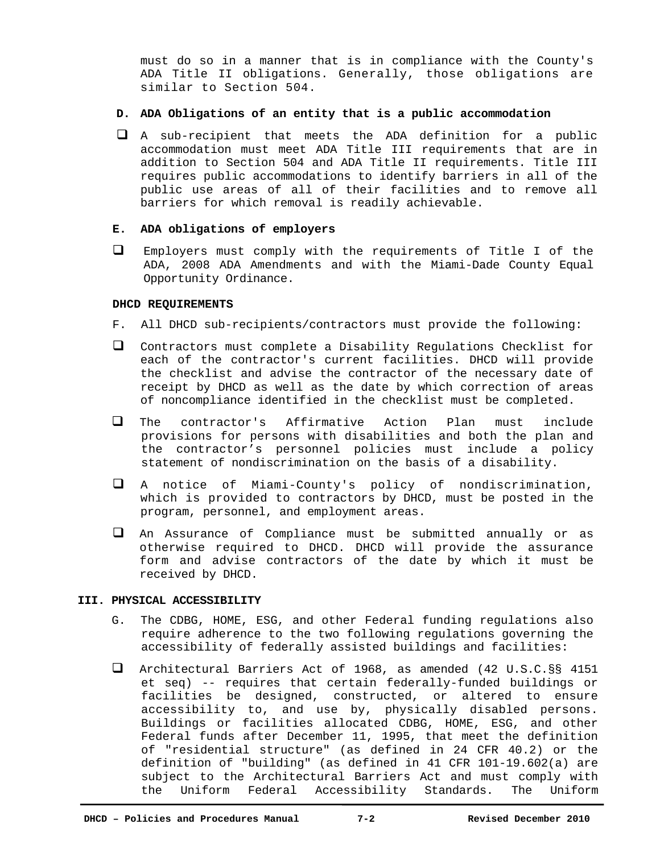must do so in a manner that is in compliance with the County's ADA Title II obligations. Generally, those obligations are similar to Section 504.

#### **D. ADA Obligations of an entity that is a public accommodation**

 $\Box$  A sub-recipient that meets the ADA definition for a public accommodation must meet ADA Title III requirements that are in addition to Section 504 and ADA Title II requirements. Title III requires public accommodations to identify barriers in all of the public use areas of all of their facilities and to remove all barriers for which removal is readily achievable.

# **E. ADA obligations of employers**

 Employers must comply with the requirements of Title I of the ADA, 2008 ADA Amendments and with the Miami-Dade County Equal Opportunity Ordinance.

#### **DHCD REQUIREMENTS**

- F. All DHCD sub-recipients/contractors must provide the following:
- Contractors must complete a Disability Regulations Checklist for each of the contractor's current facilities. DHCD will provide the checklist and advise the contractor of the necessary date of receipt by DHCD as well as the date by which correction of areas of noncompliance identified in the checklist must be completed.
- $\square$  The contractor's Affirmative Action Plan must include provisions for persons with disabilities and both the plan and the contractor's personnel policies must include a policy statement of nondiscrimination on the basis of a disability.
- A notice of Miami-County's policy of nondiscrimination, which is provided to contractors by DHCD, must be posted in the program, personnel, and employment areas.
- An Assurance of Compliance must be submitted annually or as otherwise required to DHCD. DHCD will provide the assurance form and advise contractors of the date by which it must be received by DHCD.

#### **III. PHYSICAL ACCESSIBILITY**

- G. The CDBG, HOME, ESG, and other Federal funding regulations also require adherence to the two following regulations governing the accessibility of federally assisted buildings and facilities:
- Architectural Barriers Act of 1968, as amended (42 U.S.C.§§ 4151 et seq) -- requires that certain federally-funded buildings or facilities be designed, constructed, or altered to ensure accessibility to, and use by, physically disabled persons. Buildings or facilities allocated CDBG, HOME, ESG, and other Federal funds after December 11, 1995, that meet the definition of "residential structure" (as defined in 24 CFR 40.2) or the definition of "building" (as defined in 41 CFR 101-19.602(a) are subject to the Architectural Barriers Act and must comply with the Uniform Federal Accessibility Standards. The Uniform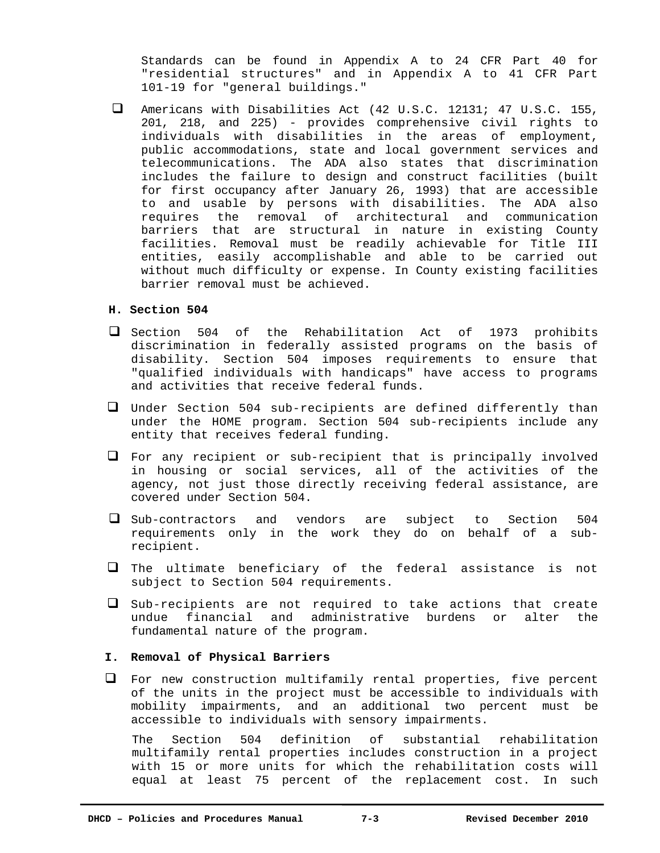Standards can be found in Appendix A to 24 CFR Part 40 for "residential structures" and in Appendix A to 41 CFR Part 101-19 for "general buildings."

 $\Box$  Americans with Disabilities Act (42 U.S.C. 12131; 47 U.S.C. 155, 201, 218, and 225) - provides comprehensive civil rights to individuals with disabilities in the areas of employment, public accommodations, state and local government services and telecommunications. The ADA also states that discrimination includes the failure to design and construct facilities (built for first occupancy after January 26, 1993) that are accessible to and usable by persons with disabilities. The ADA also requires the removal of architectural and communication barriers that are structural in nature in existing County facilities. Removal must be readily achievable for Title III entities, easily accomplishable and able to be carried out without much difficulty or expense. In County existing facilities barrier removal must be achieved.

#### **H. Section 504**

- $\Box$  Section 504 of the Rehabilitation Act of 1973 prohibits discrimination in federally assisted programs on the basis of disability. Section 504 imposes requirements to ensure that "qualified individuals with handicaps" have access to programs and activities that receive federal funds.
- Under Section 504 sub-recipients are defined differently than under the HOME program. Section 504 sub-recipients include any entity that receives federal funding.
- $\Box$  For any recipient or sub-recipient that is principally involved in housing or social services, all of the activities of the agency, not just those directly receiving federal assistance, are covered under Section 504.
- Sub-contractors and vendors are subject to Section 504 requirements only in the work they do on behalf of a subrecipient.
- $\Box$  The ultimate beneficiary of the federal assistance is not subject to Section 504 requirements.
- $\Box$  Sub-recipients are not required to take actions that create undue financial and administrative burdens or alter the fundamental nature of the program.

#### **I. Removal of Physical Barriers**

 For new construction multifamily rental properties, five percent of the units in the project must be accessible to individuals with mobility impairments, and an additional two percent must be accessible to individuals with sensory impairments.

The Section 504 definition of substantial rehabilitation multifamily rental properties includes construction in a project with 15 or more units for which the rehabilitation costs will equal at least 75 percent of the replacement cost. In such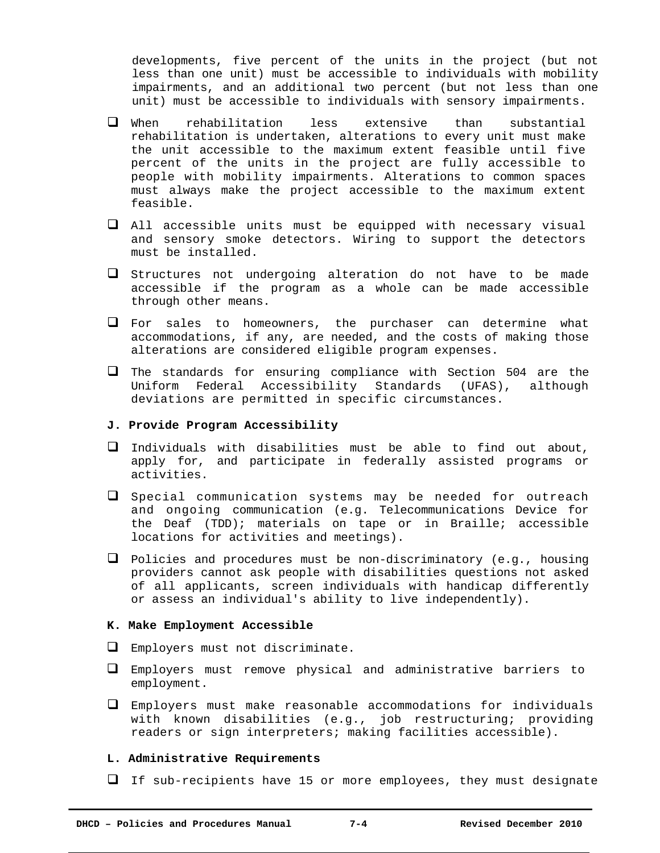developments, five percent of the units in the project (but not less than one unit) must be accessible to individuals with mobility impairments, and an additional two percent (but not less than one unit) must be accessible to individuals with sensory impairments.

- When rehabilitation less extensive than substantial rehabilitation is undertaken, alterations to every unit must make the unit accessible to the maximum extent feasible until five percent of the units in the project are fully accessible to people with mobility impairments. Alterations to common spaces must always make the project accessible to the maximum extent feasible.
- $\Box$  All accessible units must be equipped with necessary visual and sensory smoke detectors. Wiring to support the detectors must be installed.
- $\Box$  Structures not undergoing alteration do not have to be made accessible if the program as a whole can be made accessible through other means.
- For sales to homeowners, the purchaser can determine what accommodations, if any, are needed, and the costs of making those alterations are considered eligible program expenses.
- $\Box$  The standards for ensuring compliance with Section 504 are the Uniform Federal Accessibility Standards (UFAS), although deviations are permitted in specific circumstances.

#### **J. Provide Program Accessibility**

- $\Box$  Individuals with disabilities must be able to find out about, apply for, and participate in federally assisted programs or activities.
- $\square$  Special communication systems may be needed for outreach and ongoing communication (e.g. Telecommunications Device for the Deaf (TDD); materials on tape or in Braille; accessible locations for activities and meetings).
- $\Box$  Policies and procedures must be non-discriminatory (e.g., housing providers cannot ask people with disabilities questions not asked of all applicants, screen individuals with handicap differently or assess an individual's ability to live independently).

#### **K. Make Employment Accessible**

- $\Box$  Employers must not discriminate.
- Employers must remove physical and administrative barriers to employment.
- Employers must make reasonable accommodations for individuals with known disabilities (e.g., job restructuring; providing readers or sign interpreters; making facilities accessible).

# **L. Administrative Requirements**

 $\Box$  If sub-recipients have 15 or more employees, they must designate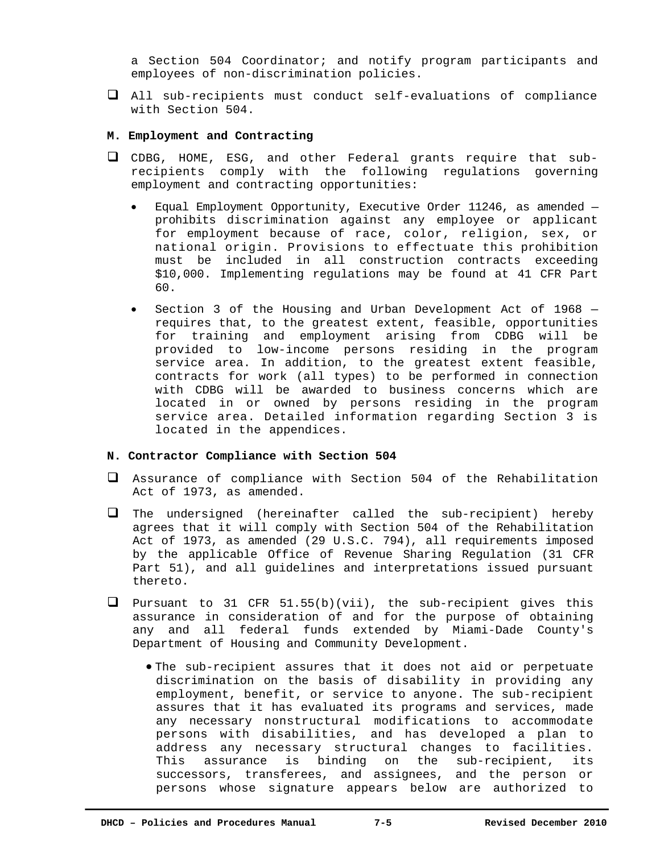a Section 504 Coordinator; and notify program participants and employees of non-discrimination policies.

 All sub-recipients must conduct self-evaluations of compliance with Section 504.

# **M. Employment and Contracting**

- CDBG, HOME, ESG, and other Federal grants require that subrecipients comply with the following regulations governing employment and contracting opportunities:
	- Equal Employment Opportunity, Executive Order 11246, as amended  $$ prohibits discrimination against any employee or applicant for employment because of race, color, religion, sex, or national origin. Provisions to effectuate this prohibition must be included in all construction contracts exceeding \$10,000. Implementing regulations may be found at 41 CFR Part 60.
	- Section 3 of the Housing and Urban Development Act of 1968 requires that, to the greatest extent, feasible, opportunities for training and employment arising from CDBG will be provided to low-income persons residing in the program service area. In addition, to the greatest extent feasible, contracts for work (all types) to be performed in connection with CDBG will be awarded to business concerns which are located in or owned by persons residing in the program service area. Detailed information regarding Section 3 is located in the appendices.

# **N. Contractor Compliance with Section 504**

- Assurance of compliance with Section 504 of the Rehabilitation Act of 1973, as amended.
- $\Box$  The undersigned (hereinafter called the sub-recipient) hereby agrees that it will comply with Section 504 of the Rehabilitation Act of 1973, as amended (29 U.S.C. 794), all requirements imposed by the applicable Office of Revenue Sharing Regulation (31 CFR Part 51), and all guidelines and interpretations issued pursuant thereto.
- **Q** Pursuant to 31 CFR 51.55(b)(vii), the sub-recipient gives this assurance in consideration of and for the purpose of obtaining any and all federal funds extended by Miami-Dade County's Department of Housing and Community Development.
	- The sub-recipient assures that it does not aid or perpetuate discrimination on the basis of disability in providing any employment, benefit, or service to anyone. The sub-recipient assures that it has evaluated its programs and services, made any necessary nonstructural modifications to accommodate persons with disabilities, and has developed a plan to address any necessary structural changes to facilities. This assurance is binding on the sub-recipient, its successors, transferees, and assignees, and the person or persons whose signature appears below are authorized to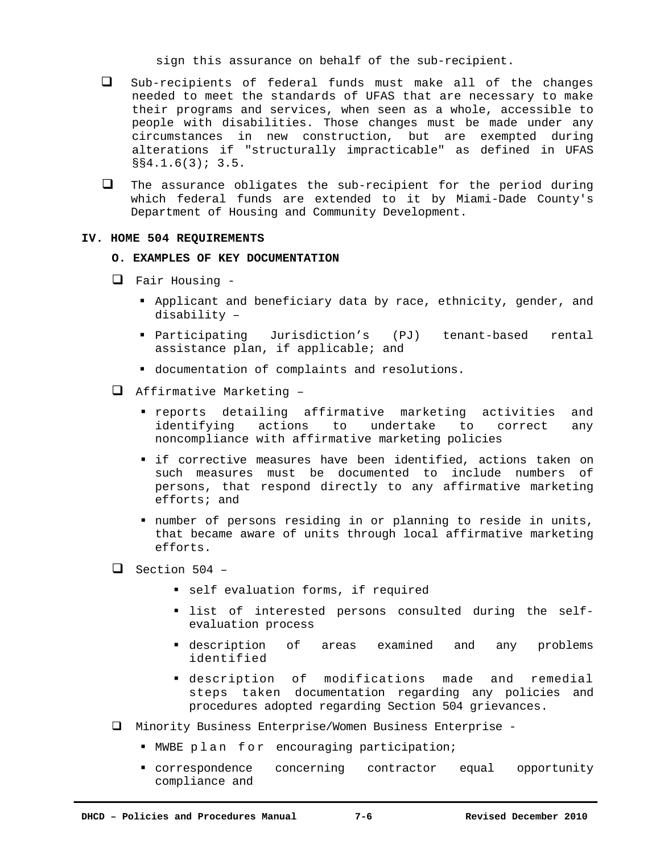sign this assurance on behalf of the sub-recipient.

- $\Box$  Sub-recipients of federal funds must make all of the changes needed to meet the standards of UFAS that are necessary to make their programs and services, when seen as a whole, accessible to people with disabilities. Those changes must be made under any circumstances in new construction, but are exempted during alterations if "structurally impracticable" as defined in UFAS §§4.1.6(3); 3.5.
- $\Box$  The assurance obligates the sub-recipient for the period during which federal funds are extended to it by Miami-Dade County's Department of Housing and Community Development.

#### **IV. HOME 504 REQUIREMENTS**

#### **O. EXAMPLES OF KEY DOCUMENTATION**

- $\Box$  Fair Housing -
	- Applicant and beneficiary data by race, ethnicity, gender, and disability –
	- Participating Jurisdiction's (PJ) tenant-based rental assistance plan, if applicable; and
	- documentation of complaints and resolutions.

 $\Box$  Affirmative Marketing -

- reports detailing affirmative marketing activities and identifying actions to undertake to correct any noncompliance with affirmative marketing policies
- if corrective measures have been identified, actions taken on such measures must be documented to include numbers of persons, that respond directly to any affirmative marketing efforts; and
- number of persons residing in or planning to reside in units, that became aware of units through local affirmative marketing efforts.

 $\Box$  Section 504 -

- self evaluation forms, if required
- I ist of interested persons consulted during the selfevaluation process
- description of areas examined and any problems identified
- description of modifications made and remedial steps taken documentation regarding any policies and procedures adopted regarding Section 504 grievances.
- Minority Business Enterprise/Women Business Enterprise
	- . MWBE plan for encouraging participation;
	- correspondence concerning contractor equal opportunity compliance and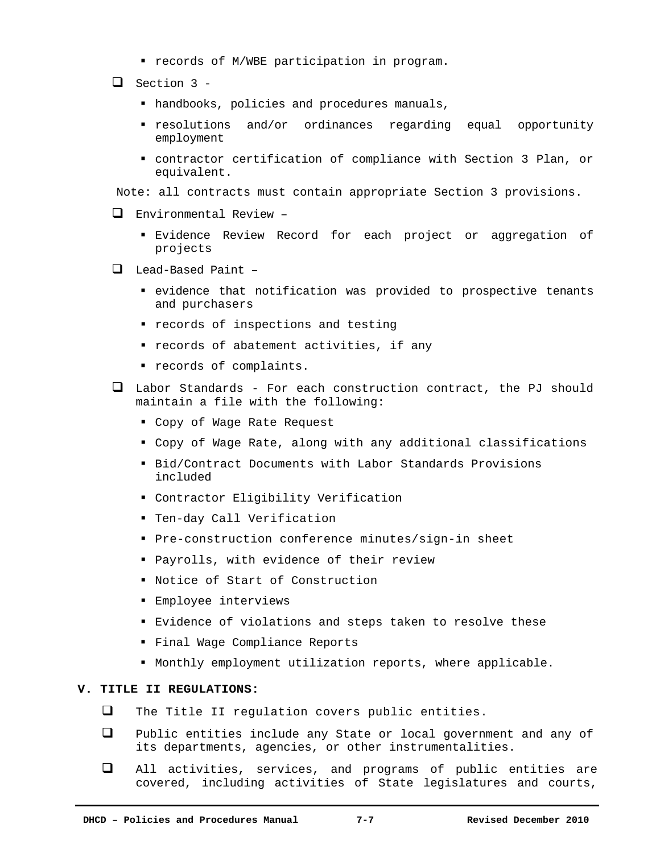- records of M/WBE participation in program.
- $\Box$  Section 3
	- handbooks, policies and procedures manuals,
	- resolutions and/or ordinances regarding equal opportunity employment
	- contractor certification of compliance with Section 3 Plan, or equivalent.

Note: all contracts must contain appropriate Section 3 provisions.

- Environmental Review
	- Evidence Review Record for each project or aggregation of projects
- Lead-Based Paint
	- **•** evidence that notification was provided to prospective tenants and purchasers
	- **P** records of inspections and testing
	- records of abatement activities, if any
	- records of complaints.
- Labor Standards For each construction contract, the PJ should maintain a file with the following:
	- Copy of Wage Rate Request
	- Copy of Wage Rate, along with any additional classifications
	- Bid/Contract Documents with Labor Standards Provisions included
	- Contractor Eligibility Verification
	- **Ten-day Call Verification**
	- **Pre-construction conference minutes/sign-in sheet**
	- Payrolls, with evidence of their review
	- Notice of Start of Construction
	- Employee interviews
	- Evidence of violations and steps taken to resolve these
	- Final Wage Compliance Reports
	- **Monthly employment utilization reports, where applicable.**

#### **V. TITLE II REGULATIONS:**

- $\Box$  The Title II regulation covers public entities.
- Public entities include any State or local government and any of its departments, agencies, or other instrumentalities.
- All activities, services, and programs of public entities are covered, including activities of State legislatures and courts,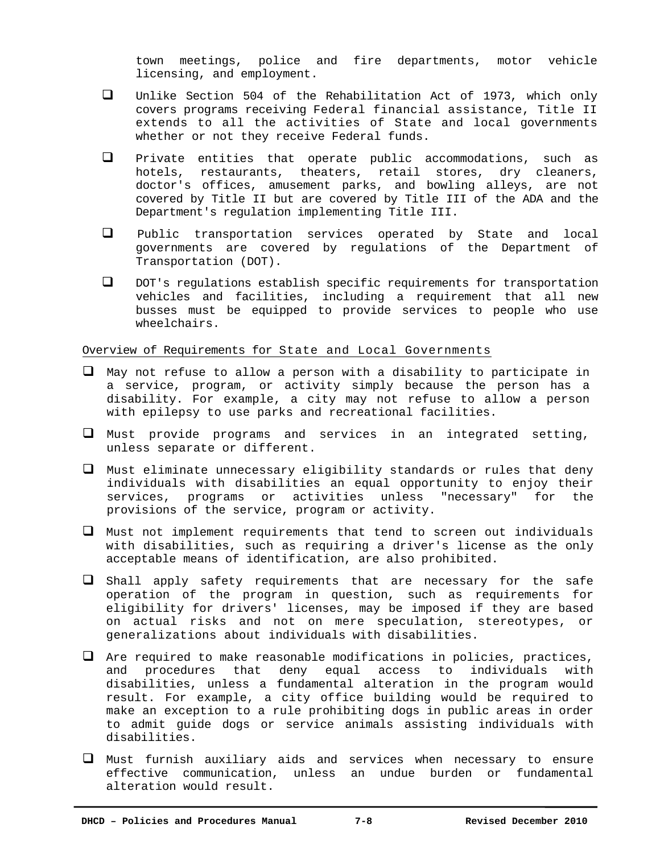town meetings, police and fire departments, motor vehicle licensing, and employment.

- Unlike Section 504 of the Rehabilitation Act of 1973, which only covers programs receiving Federal financial assistance, Title II extends to all the activities of State and local governments whether or not they receive Federal funds.
- $\Box$  Private entities that operate public accommodations, such as hotels, restaurants, theaters, retail stores, dry cleaners, doctor's offices, amusement parks, and bowling alleys, are not covered by Title II but are covered by Title III of the ADA and the Department's regulation implementing Title III.
- Public transportation services operated by State and local governments are covered by regulations of the Department of Transportation (DOT).
- DOT's regulations establish specific requirements for transportation vehicles and facilities, including a requirement that all new busses must be equipped to provide services to people who use wheelchairs.

Overview of Requirements for State and Local Governments

- $\Box$  May not refuse to allow a person with a disability to participate in a service, program, or activity simply because the person has a disability. For example, a city may not refuse to allow a person with epilepsy to use parks and recreational facilities.
- $\Box$  Must provide programs and services in an integrated setting, unless separate or different.
- $\Box$  Must eliminate unnecessary eligibility standards or rules that deny individuals with disabilities an equal opportunity to enjoy their services, programs or activities unless "necessary" for the provisions of the service, program or activity.
- $\Box$  Must not implement requirements that tend to screen out individuals with disabilities, such as requiring a driver's license as the only acceptable means of identification, are also prohibited.
- $\Box$  Shall apply safety requirements that are necessary for the safe operation of the program in question, such as requirements for eligibility for drivers' licenses, may be imposed if they are based on actual risks and not on mere speculation, stereotypes, or generalizations about individuals with disabilities.
- $\Box$  Are required to make reasonable modifications in policies, practices, and procedures that deny equal access to individuals with disabilities, unless a fundamental alteration in the program would result. For example, a city office building would be required to make an exception to a rule prohibiting dogs in public areas in order to admit guide dogs or service animals assisting individuals with disabilities.
- $\Box$  Must furnish auxiliary aids and services when necessary to ensure effective communication, unless an undue burden or fundamental alteration would result.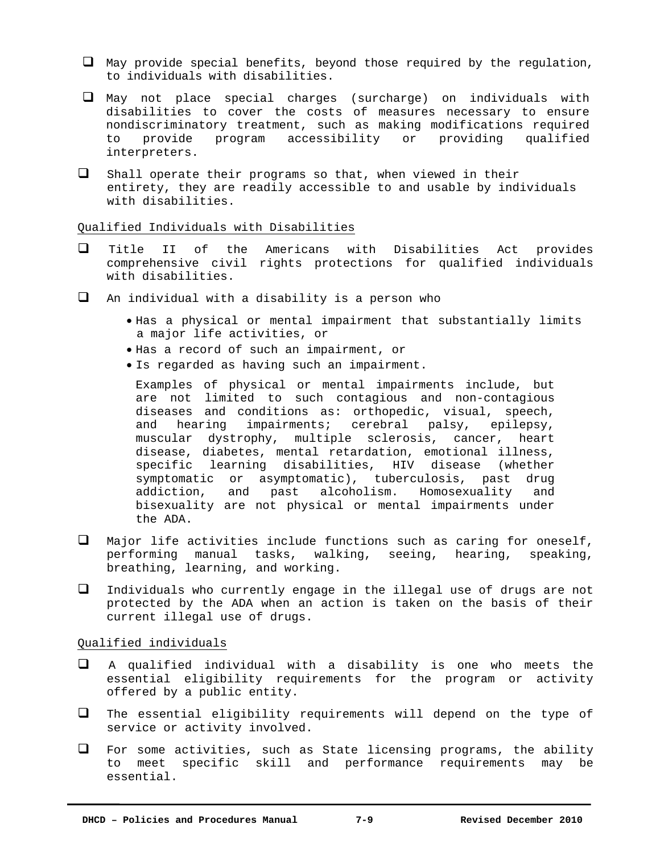- $\Box$  May provide special benefits, beyond those required by the regulation, to individuals with disabilities.
- May not place special charges (surcharge) on individuals with disabilities to cover the costs of measures necessary to ensure nondiscriminatory treatment, such as making modifications required to provide program accessibility or providing qualified interpreters.
- $\square$  Shall operate their programs so that, when viewed in their entirety, they are readily accessible to and usable by individuals with disabilities.

#### Qualified Individuals with Disabilities

- $\Box$  Title II of the Americans with Disabilities Act provides comprehensive civil rights protections for qualified individuals with disabilities.
- $\Box$  An individual with a disability is a person who
	- Has a physical or mental impairment that substantially limits a major life activities, or
	- Has a record of such an impairment, or
	- Is regarded as having such an impairment.

Examples of physical or mental impairments include, but are not limited to such contagious and non-contagious diseases and conditions as: orthopedic, visual, speech, and hearing impairments; cerebral palsy, epilepsy, muscular dystrophy, multiple sclerosis, cancer, heart disease, diabetes, mental retardation, emotional illness, specific learning disabilities, HIV disease (whether symptomatic or asymptomatic), tuberculosis, past drug addiction, and past alcoholism. Homosexuality and bisexuality are not physical or mental impairments under the ADA.

- $\Box$  Major life activities include functions such as caring for oneself, performing manual tasks, walking, seeing, hearing, speaking, breathing, learning, and working.
- $\Box$  Individuals who currently engage in the illegal use of drugs are not protected by the ADA when an action is taken on the basis of their current illegal use of drugs.

## Qualified individuals

- $\Box$  A qualified individual with a disability is one who meets the essential eligibility requirements for the program or activity offered by a public entity.
- $\Box$  The essential eligibility requirements will depend on the type of service or activity involved.
- $\Box$  For some activities, such as State licensing programs, the ability to meet specific skill and performance requirements may be essential.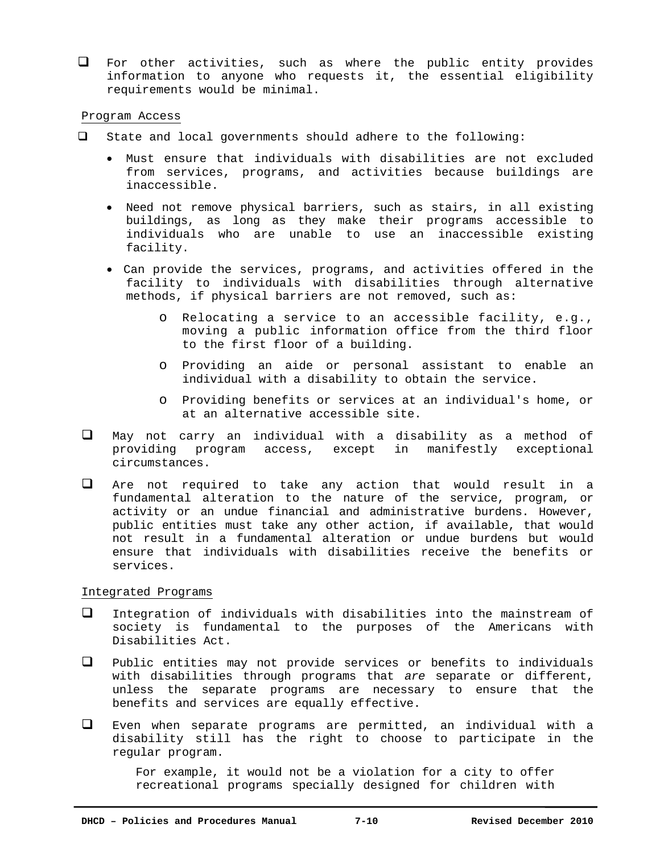For other activities, such as where the public entity provides information to anyone who requests it, the essential eligibility requirements would be minimal.

#### Program Access

- $\Box$  State and local governments should adhere to the following:
	- Must ensure that individuals with disabilities are not excluded from services, programs, and activities because buildings are inaccessible.
	- Need not remove physical barriers, such as stairs, in all existing buildings, as long as they make their programs accessible to individuals who are unable to use an inaccessible existing facility.
	- Can provide the services, programs, and activities offered in the facility to individuals with disabilities through alternative methods, if physical barriers are not removed, such as:
		- o Relocating a service to an accessible facility, e.g., moving a public information office from the third floor to the first floor of a building.
		- o Providing an aide or personal assistant to enable an individual with a disability to obtain the service.
		- o Providing benefits or services at an individual's home, or at an alternative accessible site.
- $\Box$  May not carry an individual with a disability as a method of providing program access, except in manifestly exceptional circumstances.
- Are not required to take any action that would result in a fundamental alteration to the nature of the service, program, or activity or an undue financial and administrative burdens. However, public entities must take any other action, if available, that would not result in a fundamental alteration or undue burdens but would ensure that individuals with disabilities receive the benefits or services.

# Integrated Programs

- $\Box$  Integration of individuals with disabilities into the mainstream of society is fundamental to the purposes of the Americans with Disabilities Act.
- $\Box$  Public entities may not provide services or benefits to individuals with disabilities through programs that *are* separate or different, unless the separate programs are necessary to ensure that the benefits and services are equally effective.
- Even when separate programs are permitted, an individual with a disability still has the right to choose to participate in the regular program.

For example, it would not be a violation for a city to offer recreational programs specially designed for children with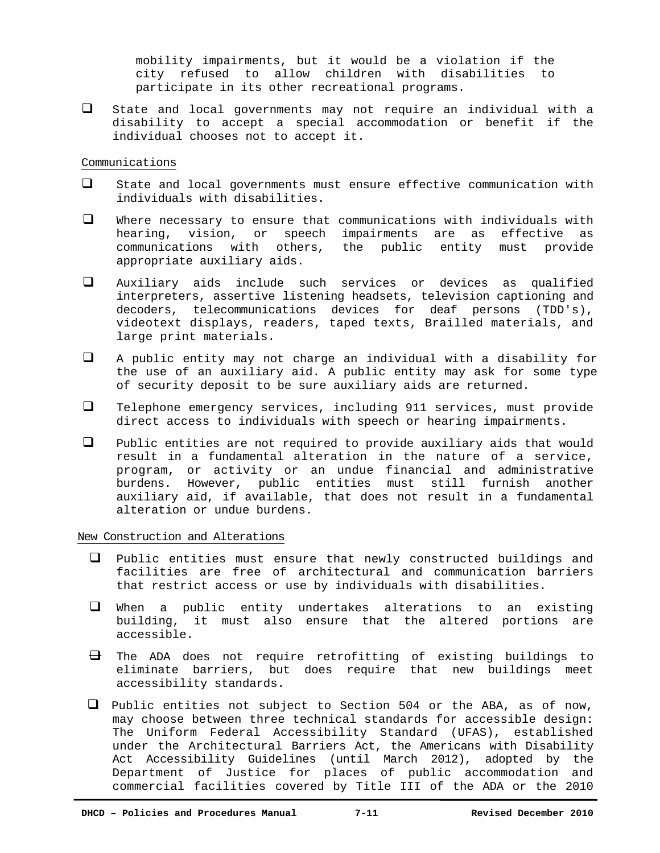mobility impairments, but it would be a violation if the city refused to allow children with disabilities to participate in its other recreational programs.

 $\Box$  State and local governments may not require an individual with a disability to accept a special accommodation or benefit if the individual chooses not to accept it.

#### Communications

- $\Box$  State and local governments must ensure effective communication with individuals with disabilities.
- $\Box$  Where necessary to ensure that communications with individuals with hearing, vision, or speech impairments are as effective as communications with others, the public entity must provide appropriate auxiliary aids.
- Auxiliary aids include such services or devices as qualified interpreters, assertive listening headsets, television captioning and decoders, telecommunications devices for deaf persons (TDD's), videotext displays, readers, taped texts, Brailled materials, and large print materials.
- $\Box$  A public entity may not charge an individual with a disability for the use of an auxiliary aid. A public entity may ask for some type of security deposit to be sure auxiliary aids are returned.
- Telephone emergency services, including 911 services, must provide direct access to individuals with speech or hearing impairments.
- $\Box$  Public entities are not required to provide auxiliary aids that would result in a fundamental alteration in the nature of a service, program, or activity or an undue financial and administrative burdens. However, public entities must still furnish another auxiliary aid, if available, that does not result in a fundamental alteration or undue burdens.

# New Construction and Alterations

- $\Box$  Public entities must ensure that newly constructed buildings and facilities are free of architectural and communication barriers that restrict access or use by individuals with disabilities.
- When a public entity undertakes alterations to an existing building, it must also ensure that the altered portions are accessible.
- $\Box$  The ADA does not require retrofitting of existing buildings to eliminate barriers, but does require that new buildings meet accessibility standards.
- $\Box$  Public entities not subject to Section 504 or the ABA, as of now, may choose between three technical standards for accessible design: The Uniform Federal Accessibility Standard (UFAS), established under the Architectural Barriers Act, the Americans with Disability Act Accessibility Guidelines (until March 2012), adopted by the Department of Justice for places of public accommodation and commercial facilities covered by Title III of the ADA or the 2010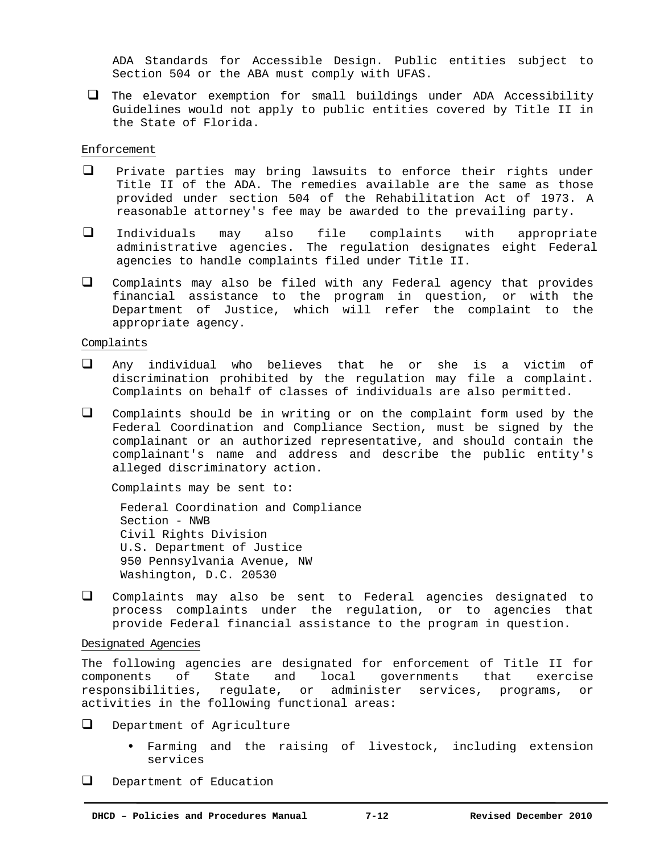ADA Standards for Accessible Design. Public entities subject to Section 504 or the ABA must comply with UFAS.

 $\Box$  The elevator exemption for small buildings under ADA Accessibility Guidelines would not apply to public entities covered by Title II in the State of Florida.

#### Enforcement

- $\Box$  Private parties may bring lawsuits to enforce their rights under Title II of the ADA. The remedies available are the same as those provided under section 504 of the Rehabilitation Act of 1973. A reasonable attorney's fee may be awarded to the prevailing party.
- Individuals may also file complaints with appropriate administrative agencies. The regulation designates eight Federal agencies to handle complaints filed under Title II.
- $\Box$  Complaints may also be filed with any Federal agency that provides financial assistance to the program in question, or with the Department of Justice, which will refer the complaint to the appropriate agency.

#### Complaints

- Any individual who believes that he or she is a victim of discrimination prohibited by the regulation may file a complaint. Complaints on behalf of classes of individuals are also permitted.
- $\Box$  Complaints should be in writing or on the complaint form used by the Federal Coordination and Compliance Section, must be signed by the complainant or an authorized representative, and should contain the complainant's name and address and describe the public entity's alleged discriminatory action.

Complaints may be sent to:

Federal Coordination and Compliance Section - NWB Civil Rights Division U.S. Department of Justice 950 Pennsylvania Avenue, NW Washington, D.C. 20530

 Complaints may also be sent to Federal agencies designated to process complaints under the regulation, or to agencies that provide Federal financial assistance to the program in question.

#### Designated Agencies

The following agencies are designated for enforcement of Title II for components of State and local governments that exercise responsibilities, regulate, or administer services, programs, or activities in the following functional areas:

- **Q** Department of Agriculture
	- Farming and the raising of livestock, including extension services

Department of Education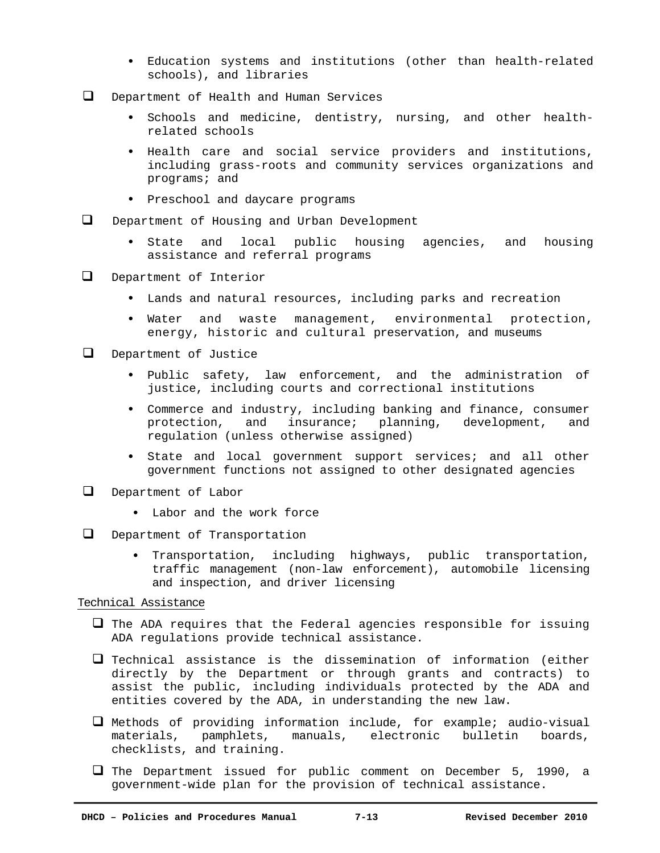- Education systems and institutions (other than health-related schools), and libraries
- D Department of Health and Human Services
	- Schools and medicine, dentistry, nursing, and other healthrelated schools
	- Health care and social service providers and institutions, including grass-roots and community services organizations and programs; and
	- Preschool and daycare programs
- Department of Housing and Urban Development
	- State and local public housing agencies, and housing assistance and referral programs
- D Department of Interior
	- Lands and natural resources, including parks and recreation
	- Water and waste management, environmental protection, energy, historic and cultural preservation, and museums
- $\Box$  Department of Justice
	- Public safety, law enforcement, and the administration of justice, including courts and correctional institutions
	- Commerce and industry, including banking and finance, consumer protection, and insurance; planning, development, and regulation (unless otherwise assigned)
	- State and local government support services; and all other government functions not assigned to other designated agencies
- Department of Labor
	- Labor and the work force
- **Q** Department of Transportation
	- Transportation, including highways, public transportation, traffic management (non-law enforcement), automobile licensing and inspection, and driver licensing

# Technical Assistance

- $\Box$  The ADA requires that the Federal agencies responsible for issuing ADA regulations provide technical assistance.
- $\Box$  Technical assistance is the dissemination of information (either directly by the Department or through grants and contracts) to assist the public, including individuals protected by the ADA and entities covered by the ADA, in understanding the new law.
- $\Box$  Methods of providing information include, for example; audio-visual materials, pamphlets, manuals, electronic bulletin boards, checklists, and training.
- $\Box$  The Department issued for public comment on December 5, 1990, a government-wide plan for the provision of technical assistance.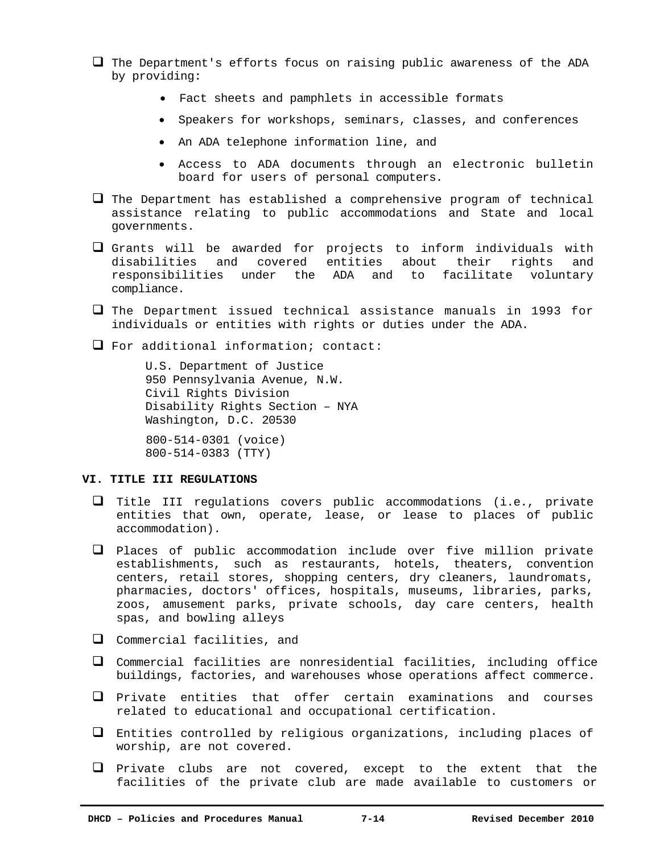- $\Box$  The Department's efforts focus on raising public awareness of the ADA by providing:
	- Fact sheets and pamphlets in accessible formats
	- Speakers for workshops, seminars, classes, and conferences
	- An ADA telephone information line, and
	- Access to ADA documents through an electronic bulletin board for users of personal computers.
- $\Box$  The Department has established a comprehensive program of technical assistance relating to public accommodations and State and local governments.
- Grants will be awarded for projects to inform individuals with disabilities and covered entities about their rights and responsibilities under the ADA and to facilitate voluntary compliance.
- $\Box$  The Department issued technical assistance manuals in 1993 for individuals or entities with rights or duties under the ADA.
- $\Box$  For additional information; contact:

U.S. Department of Justice 950 Pennsylvania Avenue, N.W. Civil Rights Division Disability Rights Section – NYA Washington, D.C. 20530 800-514-0301 (voice) 800-514-0383 (TTY)

#### **VI. TITLE III REGULATIONS**

- $\Box$  Title III regulations covers public accommodations (i.e., private entities that own, operate, lease, or lease to places of public accommodation).
- Places of public accommodation include over five million private establishments, such as restaurants, hotels, theaters, convention centers, retail stores, shopping centers, dry cleaners, laundromats, pharmacies, doctors' offices, hospitals, museums, libraries, parks, zoos, amusement parks, private schools, day care centers, health spas, and bowling alleys
- Q Commercial facilities, and
- $\Box$  Commercial facilities are nonresidential facilities, including office buildings, factories, and warehouses whose operations affect commerce.
- $\Box$  Private entities that offer certain examinations and courses related to educational and occupational certification.
- $\Box$  Entities controlled by religious organizations, including places of worship, are not covered.
- $\Box$  Private clubs are not covered, except to the extent that the facilities of the private club are made available to customers or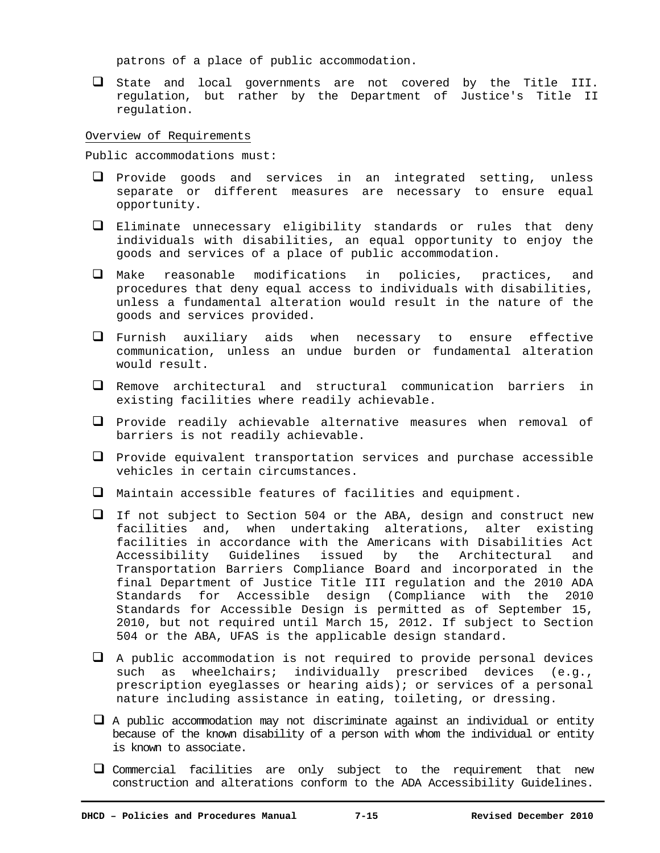patrons of a place of public accommodation.

 $\Box$  State and local governments are not covered by the Title III. regulation, but rather by the Department of Justice's Title II regulation.

#### Overview of Requirements

Public accommodations must:

- $\Box$  Provide goods and services in an integrated setting, unless separate or different measures are necessary to ensure equal opportunity.
- Eliminate unnecessary eligibility standards or rules that deny individuals with disabilities, an equal opportunity to enjoy the goods and services of a place of public accommodation.
- Make reasonable modifications in policies, practices, and procedures that deny equal access to individuals with disabilities, unless a fundamental alteration would result in the nature of the goods and services provided.
- Furnish auxiliary aids when necessary to ensure effective communication, unless an undue burden or fundamental alteration would result.
- Remove architectural and structural communication barriers in existing facilities where readily achievable.
- $\Box$  Provide readily achievable alternative measures when removal of barriers is not readily achievable.
- $\Box$  Provide equivalent transportation services and purchase accessible vehicles in certain circumstances.
- $\Box$  Maintain accessible features of facilities and equipment.
- $\Box$  If not subject to Section 504 or the ABA, design and construct new facilities and, when undertaking alterations, alter existing facilities in accordance with the Americans with Disabilities Act Accessibility Guidelines issued by the Architectural and Transportation Barriers Compliance Board and incorporated in the final Department of Justice Title III regulation and the 2010 ADA Standards for Accessible design (Compliance with the 2010 Standards for Accessible Design is permitted as of September 15, 2010, but not required until March 15, 2012. If subject to Section 504 or the ABA, UFAS is the applicable design standard.
- $\Box$  A public accommodation is not required to provide personal devices such as wheelchairs; individually prescribed devices (e.g., prescription eyeglasses or hearing aids); or services of a personal nature including assistance in eating, toileting, or dressing.
- $\Box$  A public accommodation may not discriminate against an individual or entity because of the known disability of a person with whom the individual or entity is known to associate.
- Commercial facilities are only subject to the requirement that new construction and alterations conform to the ADA Accessibility Guidelines.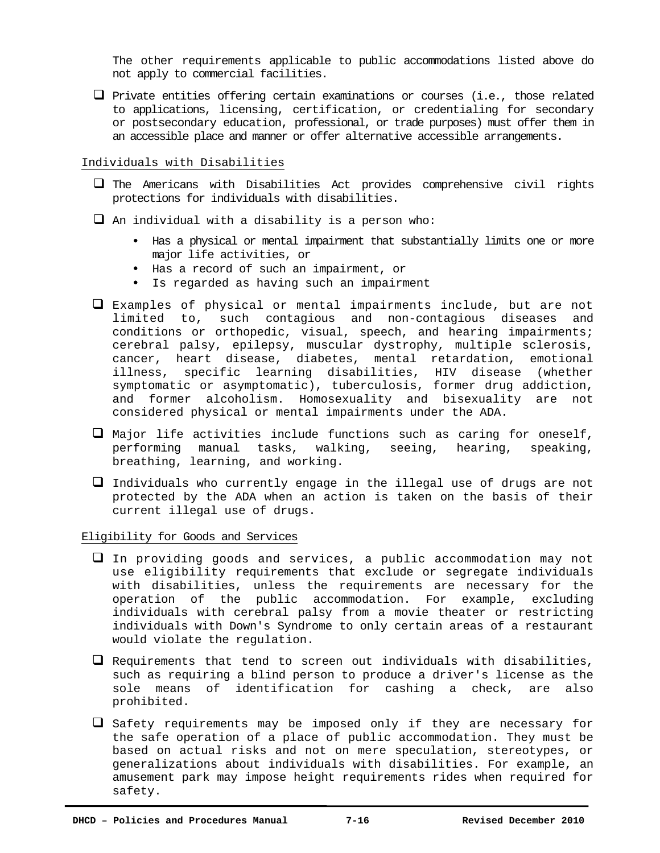The other requirements applicable to public accommodations listed above do not apply to commercial facilities.

 $\Box$  Private entities offering certain examinations or courses (i.e., those related to applications, licensing, certification, or credentialing for secondary or postsecondary education, professional, or trade purposes) must offer them in an accessible place and manner or offer alternative accessible arrangements.

#### Individuals with Disabilities

- $\Box$  The Americans with Disabilities Act provides comprehensive civil rights protections for individuals with disabilities.
- $\Box$  An individual with a disability is a person who:
	- Has a physical or mental impairment that substantially limits one or more major life activities, or
	- Has a record of such an impairment, or
	- Is regarded as having such an impairment
- $\Box$  Examples of physical or mental impairments include, but are not limited to, such contagious and non-contagious diseases and conditions or orthopedic, visual, speech, and hearing impairments; cerebral palsy, epilepsy, muscular dystrophy, multiple sclerosis, cancer, heart disease, diabetes, mental retardation, emotional illness, specific learning disabilities, HIV disease (whether symptomatic or asymptomatic), tuberculosis, former drug addiction, and former alcoholism. Homosexuality and bisexuality are not considered physical or mental impairments under the ADA.
- $\Box$  Major life activities include functions such as caring for oneself, performing manual tasks, walking, seeing, hearing, speaking, breathing, learning, and working.
- $\Box$  Individuals who currently engage in the illegal use of drugs are not protected by the ADA when an action is taken on the basis of their current illegal use of drugs.

#### Eligibility for Goods and Services

- $\Box$  In providing goods and services, a public accommodation may not use eligibility requirements that exclude or segregate individuals with disabilities, unless the requirements are necessary for the operation of the public accommodation. For example, excluding individuals with cerebral palsy from a movie theater or restricting individuals with Down's Syndrome to only certain areas of a restaurant would violate the regulation.
- $\Box$  Requirements that tend to screen out individuals with disabilities, such as requiring a blind person to produce a driver's license as the sole means of identification for cashing a check, are also prohibited.
- $\Box$  Safety requirements may be imposed only if they are necessary for the safe operation of a place of public accommodation. They must be based on actual risks and not on mere speculation, stereotypes, or generalizations about individuals with disabilities. For example, an amusement park may impose height requirements rides when required for safety.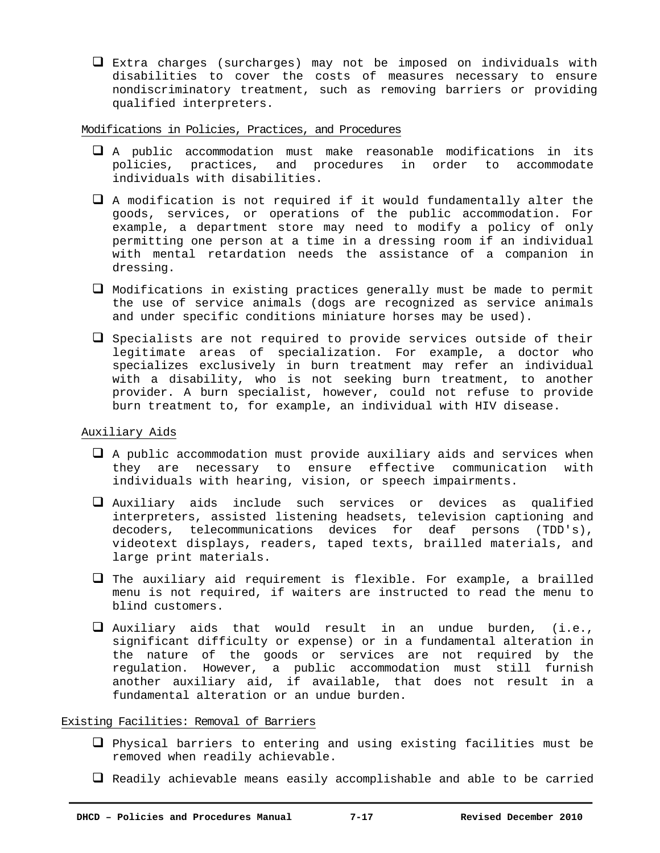Extra charges (surcharges) may not be imposed on individuals with disabilities to cover the costs of measures necessary to ensure nondiscriminatory treatment, such as removing barriers or providing qualified interpreters.

Modifications in Policies, Practices, and Procedures

- A public accommodation must make reasonable modifications in its policies, practices, and procedures in order to accommodate individuals with disabilities.
- $\Box$  A modification is not required if it would fundamentally alter the goods, services, or operations of the public accommodation. For example, a department store may need to modify a policy of only permitting one person at a time in a dressing room if an individual with mental retardation needs the assistance of a companion in dressing.
- $\Box$  Modifications in existing practices generally must be made to permit the use of service animals (dogs are recognized as service animals and under specific conditions miniature horses may be used).
- $\square$  Specialists are not required to provide services outside of their legitimate areas of specialization. For example, a doctor who specializes exclusively in burn treatment may refer an individual with a disability, who is not seeking burn treatment, to another provider. A burn specialist, however, could not refuse to provide burn treatment to, for example, an individual with HIV disease.

# Auxiliary Aids

- $\Box$  A public accommodation must provide auxiliary aids and services when they are necessary to ensure effective communication with individuals with hearing, vision, or speech impairments.
- Auxiliary aids include such services or devices as qualified interpreters, assisted listening headsets, television captioning and decoders, telecommunications devices for deaf persons (TDD's), videotext displays, readers, taped texts, brailled materials, and large print materials.
- $\Box$  The auxiliary aid requirement is flexible. For example, a brailled menu is not required, if waiters are instructed to read the menu to blind customers.
- $\Box$  Auxiliary aids that would result in an undue burden, (i.e., significant difficulty or expense) or in a fundamental alteration in the nature of the goods or services are not required by the regulation. However, a public accommodation must still furnish another auxiliary aid, if available, that does not result in a fundamental alteration or an undue burden.

# Existing Facilities: Removal of Barriers

- $\Box$  Physical barriers to entering and using existing facilities must be removed when readily achievable.
- $\Box$  Readily achievable means easily accomplishable and able to be carried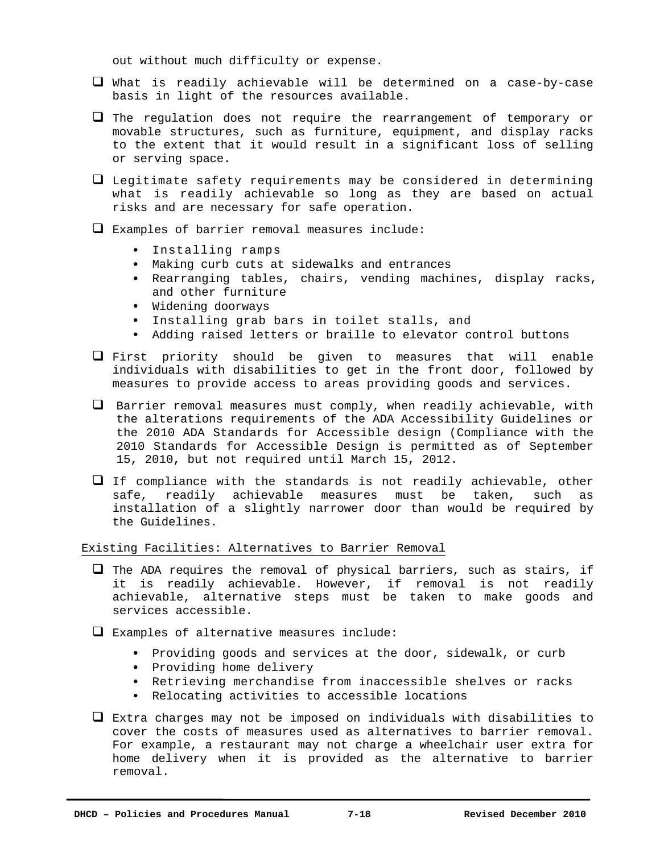out without much difficulty or expense.

- What is readily achievable will be determined on a case-by-case basis in light of the resources available.
- $\Box$  The regulation does not require the rearrangement of temporary or movable structures, such as furniture, equipment, and display racks to the extent that it would result in a significant loss of selling or serving space.
- $\Box$  Legitimate safety requirements may be considered in determining what is readily achievable so long as they are based on actual risks and are necessary for safe operation.

 $\Box$  Examples of barrier removal measures include:

- Installing ramps
- Making curb cuts at sidewalks and entrances
- Rearranging tables, chairs, vending machines, display racks, and other furniture
- Widening doorways
- Installing grab bars in toilet stalls, and
- Adding raised letters or braille to elevator control buttons
- $\Box$  First priority should be given to measures that will enable individuals with disabilities to get in the front door, followed by measures to provide access to areas providing goods and services.
- $\Box$  Barrier removal measures must comply, when readily achievable, with the alterations requirements of the ADA Accessibility Guidelines or the 2010 ADA Standards for Accessible design (Compliance with the 2010 Standards for Accessible Design is permitted as of September 15, 2010, but not required until March 15, 2012.
- $\Box$  If compliance with the standards is not readily achievable, other safe, readily achievable measures must be taken, such as installation of a slightly narrower door than would be required by the Guidelines.

Existing Facilities: Alternatives to Barrier Removal

- $\Box$  The ADA requires the removal of physical barriers, such as stairs, if it is readily achievable. However, if removal is not readily achievable, alternative steps must be taken to make goods and services accessible.
- Examples of alternative measures include:
	- Providing goods and services at the door, sidewalk, or curb
	- Providing home delivery
	- Retrieving merchandise from inaccessible shelves or racks
	- Relocating activities to accessible locations
- $\Box$  Extra charges may not be imposed on individuals with disabilities to cover the costs of measures used as alternatives to barrier removal. For example, a restaurant may not charge a wheelchair user extra for home delivery when it is provided as the alternative to barrier removal.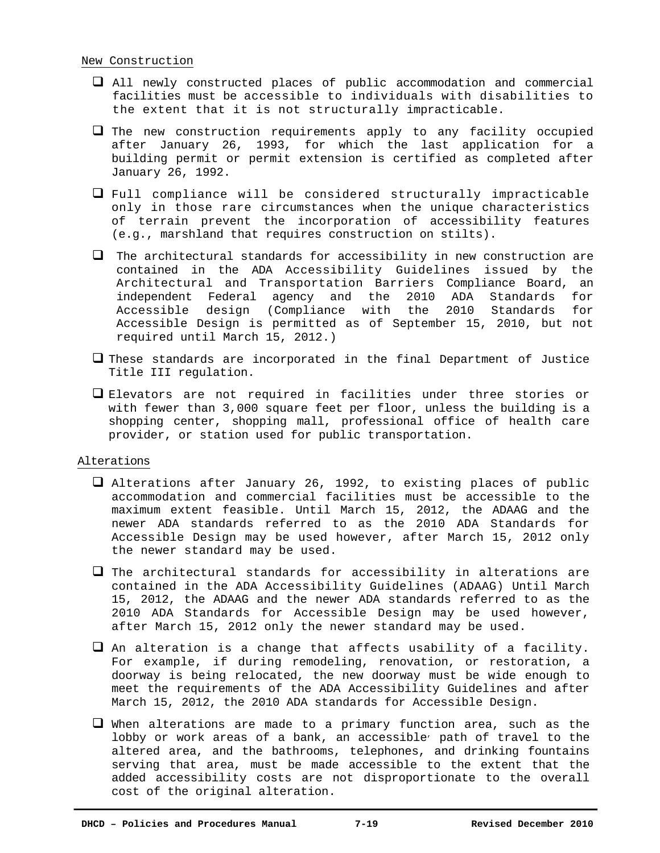- All newly constructed places of public accommodation and commercial facilities must be accessible to individuals with disabilities to the extent that it is not structurally impracticable.
- $\Box$  The new construction requirements apply to any facility occupied after January 26, 1993, for which the last application for a building permit or permit extension is certified as completed after January 26, 1992.
- $\Box$  Full compliance will be considered structurally impracticable only in those rare circumstances when the unique characteristics of terrain prevent the incorporation of accessibility features (e.g., marshland that requires construction on stilts).
- $\Box$  The architectural standards for accessibility in new construction are contained in the ADA Accessibility Guidelines issued by the Architectural and Transportation Barriers Compliance Board, an independent Federal agency and the 2010 ADA Standards for Accessible design (Compliance with the 2010 Standards for Accessible Design is permitted as of September 15, 2010, but not required until March 15, 2012.)
- $\Box$  These standards are incorporated in the final Department of Justice Title III regulation.
- Elevators are not required in facilities under three stories or with fewer than 3,000 square feet per floor, unless the building is a shopping center, shopping mall, professional office of health care provider, or station used for public transportation.

# Alterations

- $\Box$  Alterations after January 26, 1992, to existing places of public accommodation and commercial facilities must be accessible to the maximum extent feasible. Until March 15, 2012, the ADAAG and the newer ADA standards referred to as the 2010 ADA Standards for Accessible Design may be used however, after March 15, 2012 only the newer standard may be used.
- $\square$  The architectural standards for accessibility in alterations are contained in the ADA Accessibility Guidelines (ADAAG) Until March 15, 2012, the ADAAG and the newer ADA standards referred to as the 2010 ADA Standards for Accessible Design may be used however, after March 15, 2012 only the newer standard may be used.
- $\Box$  An alteration is a change that affects usability of a facility. For example, if during remodeling, renovation, or restoration, a doorway is being relocated, the new doorway must be wide enough to meet the requirements of the ADA Accessibility Guidelines and after March 15, 2012, the 2010 ADA standards for Accessible Design.
- $\Box$  When alterations are made to a primary function area, such as the lobby or work areas of a bank, an accessible' path of travel to the altered area, and the bathrooms, telephones, and drinking fountains serving that area, must be made accessible to the extent that the added accessibility costs are not disproportionate to the overall cost of the original alteration.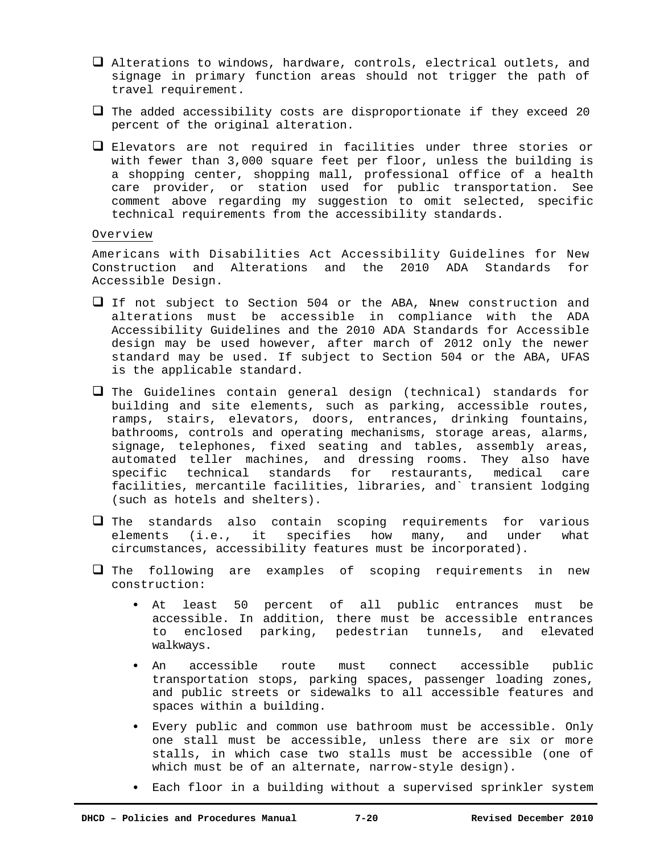- Alterations to windows, hardware, controls, electrical outlets, and signage in primary function areas should not trigger the path of travel requirement.
- $\Box$  The added accessibility costs are disproportionate if they exceed 20 percent of the original alteration.
- Elevators are not required in facilities under three stories or with fewer than 3,000 square feet per floor, unless the building is a shopping center, shopping mall, professional office of a health care provider, or station used for public transportation. See comment above regarding my suggestion to omit selected, specific technical requirements from the accessibility standards.

#### Overview

Americans with Disabilities Act Accessibility Guidelines for New Construction and Alterations and the 2010 ADA Standards for Accessible Design.

- $\Box$  If not subject to Section 504 or the ABA, Ninew construction and alterations must be accessible in compliance with the ADA Accessibility Guidelines and the 2010 ADA Standards for Accessible design may be used however, after march of 2012 only the newer standard may be used. If subject to Section 504 or the ABA, UFAS is the applicable standard.
- $\Box$  The Guidelines contain general design (technical) standards for building and site elements, such as parking, accessible routes, ramps, stairs, elevators, doors, entrances, drinking fountains, bathrooms, controls and operating mechanisms, storage areas, alarms, signage, telephones, fixed seating and tables, assembly areas, automated teller machines, and dressing rooms. They also have specific technical standards for restaurants, medical care facilities, mercantile facilities, libraries, and` transient lodging (such as hotels and shelters).
- $\Box$  The standards also contain scoping requirements for various elements (i.e., it specifies how many, and under what circumstances, accessibility features must be incorporated).
- $\Box$  The following are examples of scoping requirements in new construction:
	- At least 50 percent of all public entrances must be accessible. In addition, there must be accessible entrances to enclosed parking, pedestrian tunnels, and elevated walkways.
	- An accessible route must connect accessible public transportation stops, parking spaces, passenger loading zones, and public streets or sidewalks to all accessible features and spaces within a building.
	- Every public and common use bathroom must be accessible. Only one stall must be accessible, unless there are six or more stalls, in which case two stalls must be accessible (one of which must be of an alternate, narrow-style design).
	- Each floor in a building without a supervised sprinkler system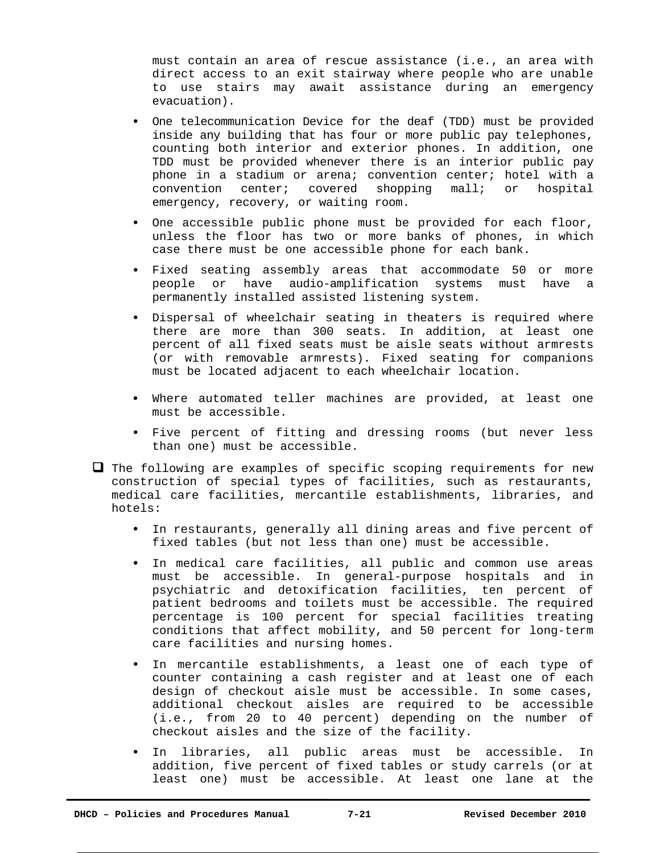must contain an area of rescue assistance (i.e., an area with direct access to an exit stairway where people who are unable to use stairs may await assistance during an emergency evacuation).

- One telecommunication Device for the deaf (TDD) must be provided inside any building that has four or more public pay telephones, counting both interior and exterior phones. In addition, one TDD must be provided whenever there is an interior public pay phone in a stadium or arena; convention center; hotel with a convention center; covered shopping mall; or hospital emergency, recovery, or waiting room.
- One accessible public phone must be provided for each floor, unless the floor has two or more banks of phones, in which case there must be one accessible phone for each bank.
- Fixed seating assembly areas that accommodate 50 or more people or have audio-amplification systems must have a permanently installed assisted listening system.
- Dispersal of wheelchair seating in theaters is required where there are more than 300 seats. In addition, at least one percent of all fixed seats must be aisle seats without armrests (or with removable armrests). Fixed seating for companions must be located adjacent to each wheelchair location.
- Where automated teller machines are provided, at least one must be accessible.
- Five percent of fitting and dressing rooms (but never less than one) must be accessible.
- $\Box$  The following are examples of specific scoping requirements for new construction of special types of facilities, such as restaurants, medical care facilities, mercantile establishments, libraries, and hotels:
	- In restaurants, generally all dining areas and five percent of fixed tables (but not less than one) must be accessible.
	- In medical care facilities, all public and common use areas must be accessible. In general-purpose hospitals and in psychiatric and detoxification facilities, ten percent of patient bedrooms and toilets must be accessible. The required percentage is 100 percent for special facilities treating conditions that affect mobility, and 50 percent for long-term care facilities and nursing homes.
	- In mercantile establishments, a least one of each type of counter containing a cash register and at least one of each design of checkout aisle must be accessible. In some cases, additional checkout aisles are required to be accessible (i.e., from 20 to 40 percent) depending on the number of checkout aisles and the size of the facility.
	- In libraries, all public areas must be accessible. In addition, five percent of fixed tables or study carrels (or at least one) must be accessible. At least one lane at the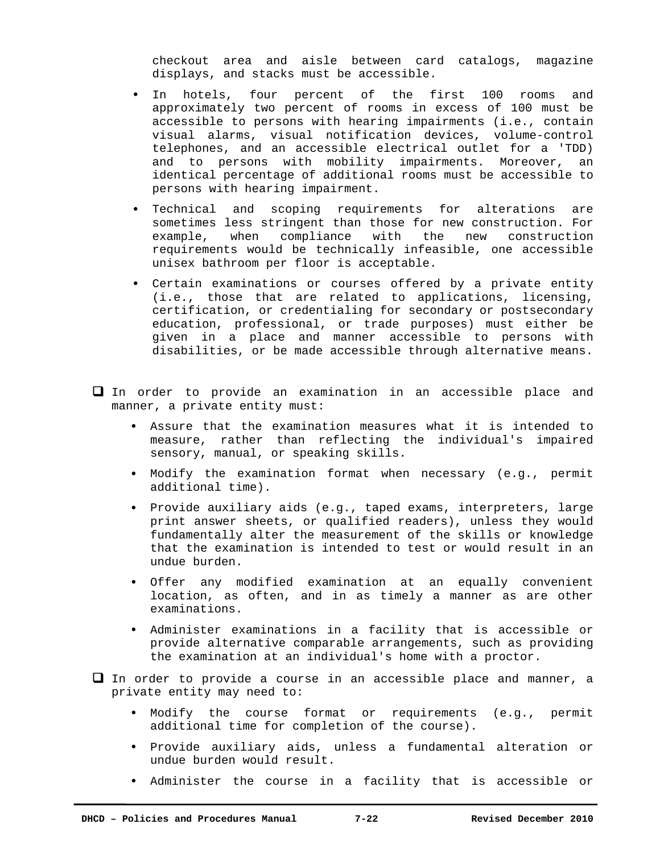checkout area and aisle between card catalogs, magazine displays, and stacks must be accessible.

- In hotels, four percent of the first 100 rooms and approximately two percent of rooms in excess of 100 must be accessible to persons with hearing impairments (i.e., contain visual alarms, visual notification devices, volume-control telephones, and an accessible electrical outlet for a 'TDD) and to persons with mobility impairments. Moreover, an identical percentage of additional rooms must be accessible to persons with hearing impairment.
- Technical and scoping requirements for alterations are sometimes less stringent than those for new construction. For example, when compliance with the new construction requirements would be technically infeasible, one accessible unisex bathroom per floor is acceptable.
- Certain examinations or courses offered by a private entity (i.e., those that are related to applications, licensing, certification, or credentialing for secondary or postsecondary education, professional, or trade purposes) must either be given in a place and manner accessible to persons with disabilities, or be made accessible through alternative means.

 $\Box$  In order to provide an examination in an accessible place and manner, a private entity must:

- Assure that the examination measures what it is intended to measure, rather than reflecting the individual's impaired sensory, manual, or speaking skills.
- Modify the examination format when necessary (e.g., permit additional time).
- Provide auxiliary aids (e.g., taped exams, interpreters, large print answer sheets, or qualified readers), unless they would fundamentally alter the measurement of the skills or knowledge that the examination is intended to test or would result in an undue burden.
- Offer any modified examination at an equally convenient location, as often, and in as timely a manner as are other examinations.
- Administer examinations in a facility that is accessible or provide alternative comparable arrangements, such as providing the examination at an individual's home with a proctor.

 In order to provide a course in an accessible place and manner, a private entity may need to:

- Modify the course format or requirements (e.g., permit additional time for completion of the course).
- Provide auxiliary aids, unless a fundamental alteration or undue burden would result.
- Administer the course in a facility that is accessible or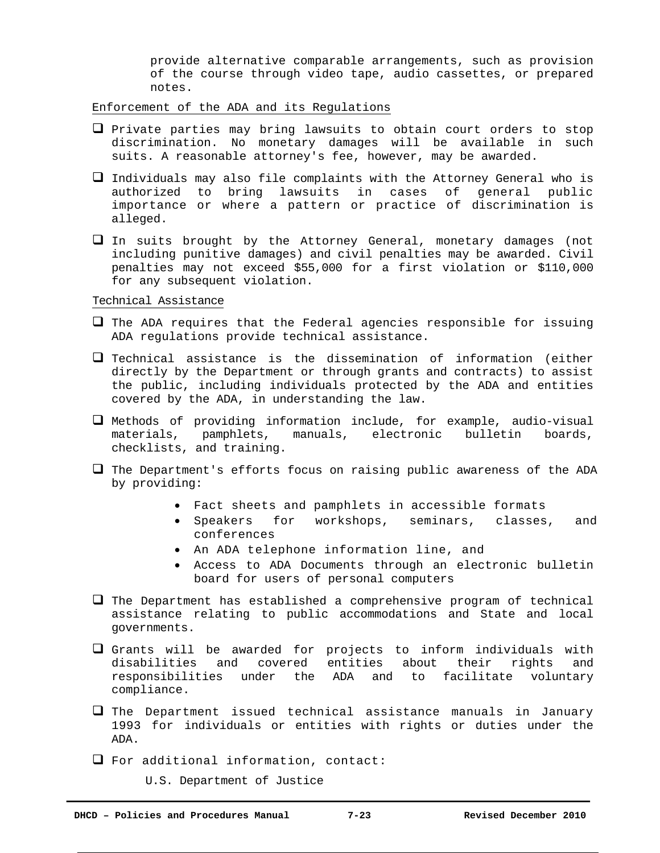provide alternative comparable arrangements, such as provision of the course through video tape, audio cassettes, or prepared notes.

#### Enforcement of the ADA and its Regulations

- $\Box$  Private parties may bring lawsuits to obtain court orders to stop discrimination. No monetary damages will be available in such suits. A reasonable attorney's fee, however, may be awarded.
- $\Box$  Individuals may also file complaints with the Attorney General who is authorized to bring lawsuits in cases of general public importance or where a pattern or practice of discrimination is alleged.
- In suits brought by the Attorney General, monetary damages (not including punitive damages) and civil penalties may be awarded. Civil penalties may not exceed \$55,000 for a first violation or \$110,000 for any subsequent violation.

# Technical Assistance

- $\Box$  The ADA requires that the Federal agencies responsible for issuing ADA regulations provide technical assistance.
- $\Box$  Technical assistance is the dissemination of information (either directly by the Department or through grants and contracts) to assist the public, including individuals protected by the ADA and entities covered by the ADA, in understanding the law.
- $\Box$  Methods of providing information include, for example, audio-visual materials, pamphlets, manuals, electronic bulletin boards, checklists, and training.
- $\Box$  The Department's efforts focus on raising public awareness of the ADA by providing:
	- Fact sheets and pamphlets in accessible formats
	- Speakers for workshops, seminars, classes, and conferences
	- An ADA telephone information line, and
	- Access to ADA Documents through an electronic bulletin board for users of personal computers
- $\Box$  The Department has established a comprehensive program of technical assistance relating to public accommodations and State and local governments.
- Grants will be awarded for projects to inform individuals with disabilities and covered entities about their rights and responsibilities under the ADA and to facilitate voluntary compliance.
- $\Box$  The Department issued technical assistance manuals in January 1993 for individuals or entities with rights or duties under the ADA.
- **Q** For additional information, contact:
	- U.S. Department of Justice